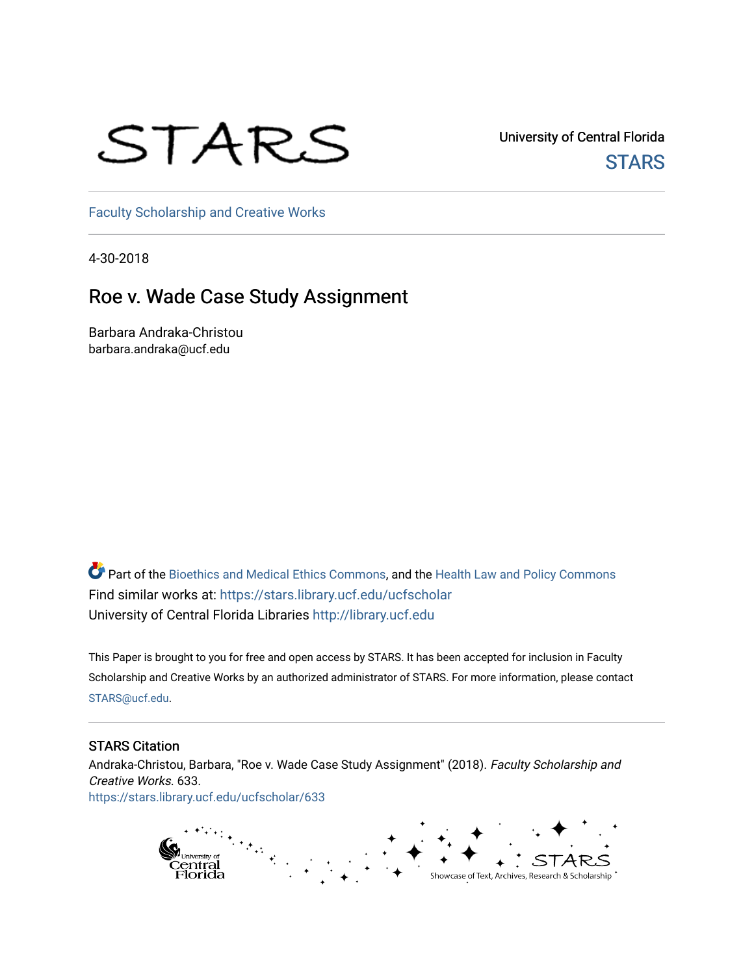## STARS

University of Central Florida **STARS** 

[Faculty Scholarship and Creative Works](https://stars.library.ucf.edu/ucfscholar) 

4-30-2018

## Roe v. Wade Case Study Assignment

Barbara Andraka-Christou barbara.andraka@ucf.edu

Part of the [Bioethics and Medical Ethics Commons,](http://network.bepress.com/hgg/discipline/650?utm_source=stars.library.ucf.edu%2Fucfscholar%2F633&utm_medium=PDF&utm_campaign=PDFCoverPages) and the [Health Law and Policy Commons](http://network.bepress.com/hgg/discipline/901?utm_source=stars.library.ucf.edu%2Fucfscholar%2F633&utm_medium=PDF&utm_campaign=PDFCoverPages) Find similar works at: <https://stars.library.ucf.edu/ucfscholar> University of Central Florida Libraries [http://library.ucf.edu](http://library.ucf.edu/) 

This Paper is brought to you for free and open access by STARS. It has been accepted for inclusion in Faculty Scholarship and Creative Works by an authorized administrator of STARS. For more information, please contact [STARS@ucf.edu](mailto:STARS@ucf.edu).

## STARS Citation

Andraka-Christou, Barbara, "Roe v. Wade Case Study Assignment" (2018). Faculty Scholarship and Creative Works. 633. [https://stars.library.ucf.edu/ucfscholar/633](https://stars.library.ucf.edu/ucfscholar/633?utm_source=stars.library.ucf.edu%2Fucfscholar%2F633&utm_medium=PDF&utm_campaign=PDFCoverPages)

> g<br>Central<br>Florida Showcase of Text, Archives, Research & Scholarship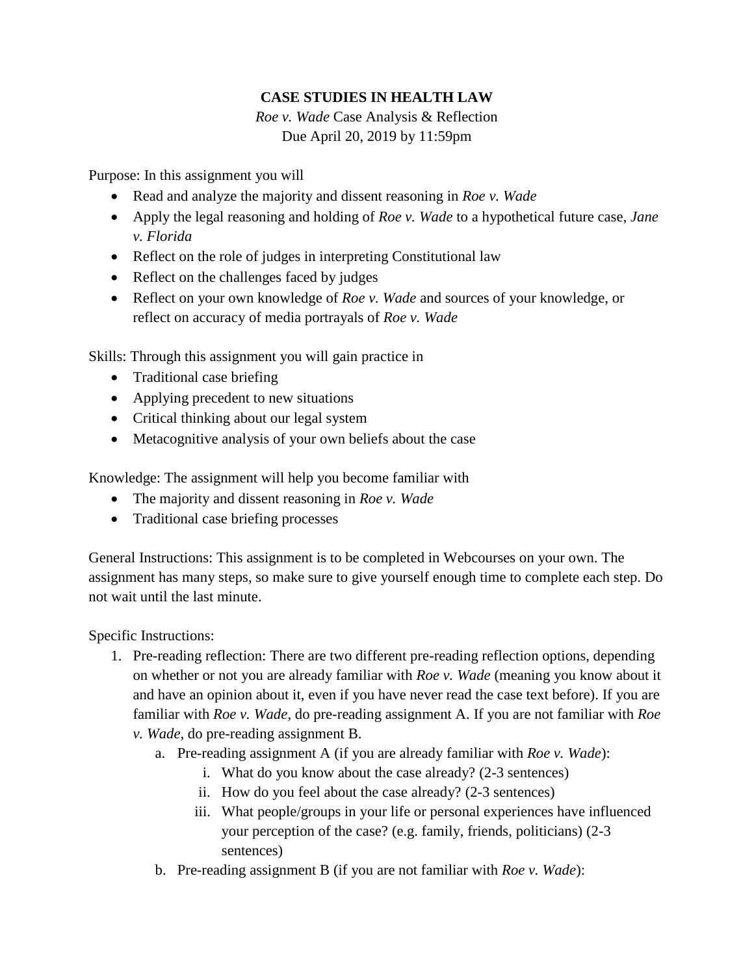## **CASE STUDIES IN HEALTH LAW**

*Roe v. Wade* Case Analysis & Reflection Due April 20, 2019 by 11:59pm

Purpose: In this assignment you will

- Read and analyze the majority and dissent reasoning in *Roe v. Wade*
- Apply the legal reasoning and holding of *Roe v. Wade* to a hypothetical future case, *Jane v. Florida*
- Reflect on the role of judges in interpreting Constitutional law
- Reflect on the challenges faced by judges
- Reflect on your own knowledge of *Roe v. Wade* and sources of your knowledge, or reflect on accuracy of media portrayals of *Roe v. Wade*

Skills: Through this assignment you will gain practice in

- Traditional case briefing
- Applying precedent to new situations
- Critical thinking about our legal system
- Metacognitive analysis of your own beliefs about the case

Knowledge: The assignment will help you become familiar with

- The majority and dissent reasoning in *Roe v. Wade*
- Traditional case briefing processes

General Instructions: This assignment is to be completed in Webcourses on your own. The assignment has many steps, so make sure to give yourself enough time to complete each step. Do not wait until the last minute.

Specific Instructions:

- 1. Pre-reading reflection: There are two different pre-reading reflection options, depending on whether or not you are already familiar with *Roe v. Wade* (meaning you know about it and have an opinion about it, even if you have never read the case text before). If you are familiar with *Roe v. Wade*, do pre-reading assignment A. If you are not familiar with *Roe* 
	- *v. Wade*, do pre-reading assignment B.
		- a. Pre-reading assignment A (if you are already familiar with *Roe v. Wade*):
			- i. What do you know about the case already? (2-3 sentences)
			- ii. How do you feel about the case already? (2-3 sentences)
			- iii. What people/groups in your life or personal experiences have influenced your perception of the case? (e.g. family, friends, politicians) (2-3 sentences)
		- b. Pre-reading assignment B (if you are not familiar with *Roe v. Wade*):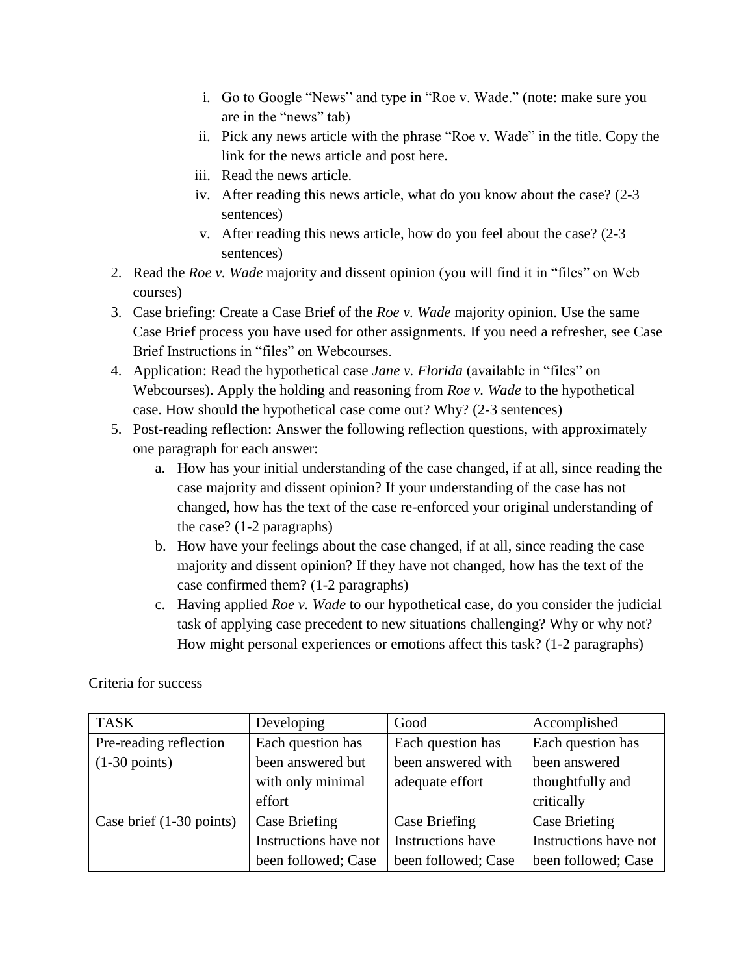- i. Go to Google "News" and type in "Roe v. Wade." (note: make sure you are in the "news" tab)
- ii. Pick any news article with the phrase "Roe v. Wade" in the title. Copy the link for the news article and post here.
- iii. Read the news article.
- iv. After reading this news article, what do you know about the case? (2-3 sentences)
- v. After reading this news article, how do you feel about the case? (2-3 sentences)
- 2. Read the *Roe v. Wade* majority and dissent opinion (you will find it in "files" on Web courses)
- 3. Case briefing: Create a Case Brief of the *Roe v. Wade* majority opinion. Use the same Case Brief process you have used for other assignments. If you need a refresher, see Case Brief Instructions in "files" on Webcourses.
- 4. Application: Read the hypothetical case *Jane v. Florida* (available in "files" on Webcourses). Apply the holding and reasoning from *Roe v. Wade* to the hypothetical case. How should the hypothetical case come out? Why? (2-3 sentences)
- 5. Post-reading reflection: Answer the following reflection questions, with approximately one paragraph for each answer:
	- a. How has your initial understanding of the case changed, if at all, since reading the case majority and dissent opinion? If your understanding of the case has not changed, how has the text of the case re-enforced your original understanding of the case? (1-2 paragraphs)
	- b. How have your feelings about the case changed, if at all, since reading the case majority and dissent opinion? If they have not changed, how has the text of the case confirmed them? (1-2 paragraphs)
	- c. Having applied *Roe v. Wade* to our hypothetical case, do you consider the judicial task of applying case precedent to new situations challenging? Why or why not? How might personal experiences or emotions affect this task? (1-2 paragraphs)

Criteria for success

| <b>TASK</b>              | Developing            | Good                | Accomplished          |
|--------------------------|-----------------------|---------------------|-----------------------|
| Pre-reading reflection   | Each question has     | Each question has   | Each question has     |
| $(1-30 \text{ points})$  | been answered but     | been answered with  | been answered         |
|                          | with only minimal     | adequate effort     | thoughtfully and      |
|                          | effort                |                     | critically            |
| Case brief (1-30 points) | <b>Case Briefing</b>  | Case Briefing       | Case Briefing         |
|                          | Instructions have not | Instructions have   | Instructions have not |
|                          | been followed; Case   | been followed; Case | been followed; Case   |